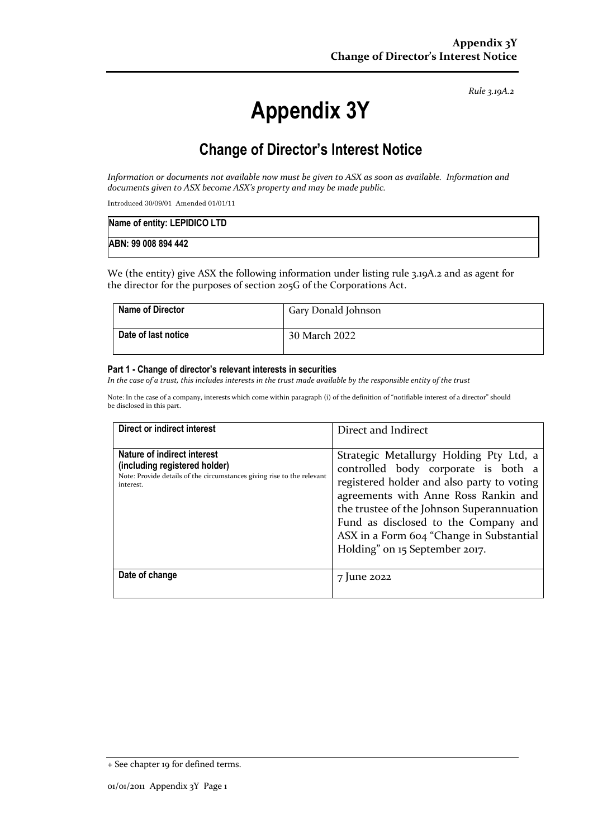*Rule 3.19A.2*

# **Appendix 3Y**

# **Change of Director's Interest Notice**

*Information or documents not available now must be given to ASX as soon as available. Information and documents given to ASX become ASX's property and may be made public.*

Introduced 30/09/01 Amended 01/01/11

| Name of entity: LEPIDICO LTD |  |
|------------------------------|--|
| ABN: 99 008 894 442          |  |

We (the entity) give ASX the following information under listing rule 3.19A.2 and as agent for the director for the purposes of section 205G of the Corporations Act.

| <b>Name of Director</b> | Gary Donald Johnson |
|-------------------------|---------------------|
| Date of last notice     | 30 March 2022       |

#### **Part 1 - Change of director's relevant interests in securities**

*In the case of a trust, this includes interests in the trust made available by the responsible entity of the trust*

Note: In the case of a company, interests which come within paragraph (i) of the definition of "notifiable interest of a director" should be disclosed in this part.

| <b>Direct or indirect interest</b>                                                                                                                  | Direct and Indirect                                                                                                                                                                                                                                                                                                                     |
|-----------------------------------------------------------------------------------------------------------------------------------------------------|-----------------------------------------------------------------------------------------------------------------------------------------------------------------------------------------------------------------------------------------------------------------------------------------------------------------------------------------|
| Nature of indirect interest<br>(including registered holder)<br>Note: Provide details of the circumstances giving rise to the relevant<br>interest. | Strategic Metallurgy Holding Pty Ltd, a<br>controlled body corporate is both a<br>registered holder and also party to voting<br>agreements with Anne Ross Rankin and<br>the trustee of the Johnson Superannuation<br>Fund as disclosed to the Company and<br>ASX in a Form 604 "Change in Substantial<br>Holding" on 15 September 2017. |
| Date of change                                                                                                                                      | 7 June 2022                                                                                                                                                                                                                                                                                                                             |

<sup>+</sup> See chapter 19 for defined terms.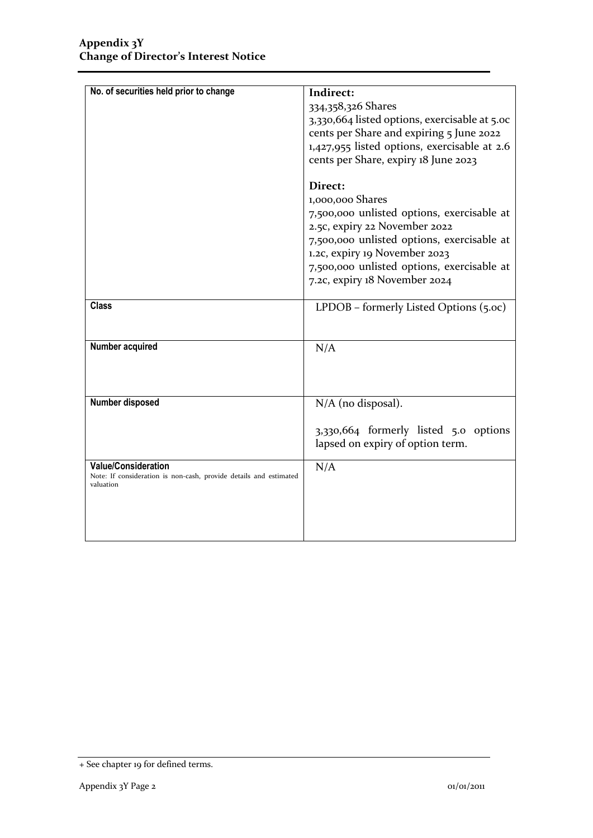| No. of securities held prior to change                            | Indirect:                                     |
|-------------------------------------------------------------------|-----------------------------------------------|
|                                                                   | 334,358,326 Shares                            |
|                                                                   |                                               |
|                                                                   | 3,330,664 listed options, exercisable at 5.00 |
|                                                                   | cents per Share and expiring 5 June 2022      |
|                                                                   | 1,427,955 listed options, exercisable at 2.6  |
|                                                                   | cents per Share, expiry 18 June 2023          |
|                                                                   | Direct:                                       |
|                                                                   | 1,000,000 Shares                              |
|                                                                   | 7,500,000 unlisted options, exercisable at    |
|                                                                   | 2.5c, expiry 22 November 2022                 |
|                                                                   |                                               |
|                                                                   | 7,500,000 unlisted options, exercisable at    |
|                                                                   | 1.2c, expiry 19 November 2023                 |
|                                                                   | 7,500,000 unlisted options, exercisable at    |
|                                                                   | 7.2c, expiry 18 November 2024                 |
| <b>Class</b>                                                      | LPDOB - formerly Listed Options (5.oc)        |
| <b>Number acquired</b>                                            | N/A                                           |
|                                                                   |                                               |
|                                                                   |                                               |
|                                                                   |                                               |
| <b>Number disposed</b>                                            | N/A (no disposal).                            |
|                                                                   |                                               |
|                                                                   | 3,330,664 formerly listed 5.0 options         |
|                                                                   | lapsed on expiry of option term.              |
| Value/Consideration                                               | N/A                                           |
| Note: If consideration is non-cash, provide details and estimated |                                               |
| valuation                                                         |                                               |
|                                                                   |                                               |
|                                                                   |                                               |
|                                                                   |                                               |
|                                                                   |                                               |

<sup>+</sup> See chapter 19 for defined terms.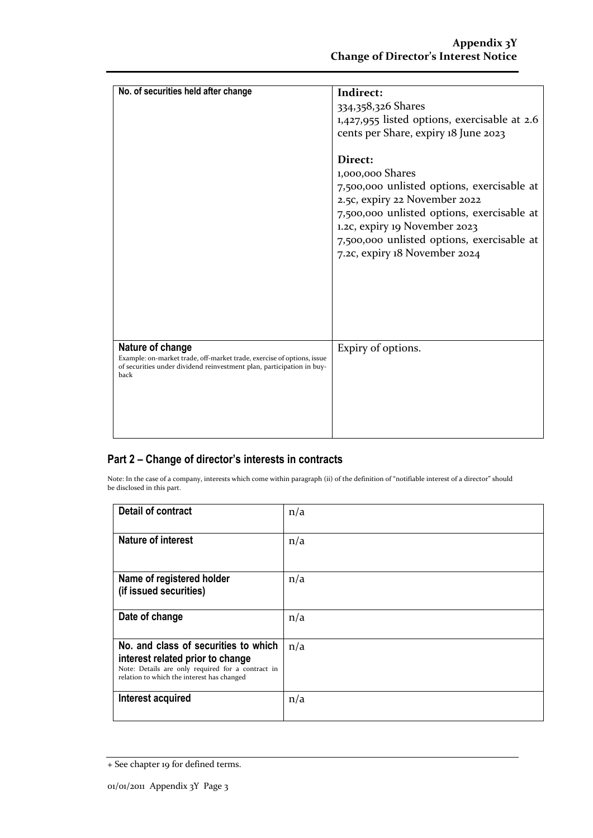| No. of securities held after change                                                                                                                                         | Indirect:<br>334,358,326 Shares<br>1,427,955 listed options, exercisable at 2.6<br>cents per Share, expiry 18 June 2023<br>Direct:<br>1,000,000 Shares<br>7,500,000 unlisted options, exercisable at<br>2.5c, expiry 22 November 2022<br>7,500,000 unlisted options, exercisable at<br>1.2c, expiry 19 November 2023<br>7,500,000 unlisted options, exercisable at<br>7.2c, expiry 18 November 2024 |
|-----------------------------------------------------------------------------------------------------------------------------------------------------------------------------|-----------------------------------------------------------------------------------------------------------------------------------------------------------------------------------------------------------------------------------------------------------------------------------------------------------------------------------------------------------------------------------------------------|
| Nature of change<br>Example: on-market trade, off-market trade, exercise of options, issue<br>of securities under dividend reinvestment plan, participation in buy-<br>back | Expiry of options.                                                                                                                                                                                                                                                                                                                                                                                  |

## **Part 2 – Change of director's interests in contracts**

Note: In the case of a company, interests which come within paragraph (ii) of the definition of "notifiable interest of a director" should be disclosed in this part.

| <b>Detail of contract</b>                                                                                                                                                   | n/a |
|-----------------------------------------------------------------------------------------------------------------------------------------------------------------------------|-----|
| <b>Nature of interest</b>                                                                                                                                                   | n/a |
| Name of registered holder<br>(if issued securities)                                                                                                                         | n/a |
| Date of change                                                                                                                                                              | n/a |
| No. and class of securities to which<br>interest related prior to change<br>Note: Details are only required for a contract in<br>relation to which the interest has changed | n/a |
| Interest acquired                                                                                                                                                           | n/a |

<sup>+</sup> See chapter 19 for defined terms.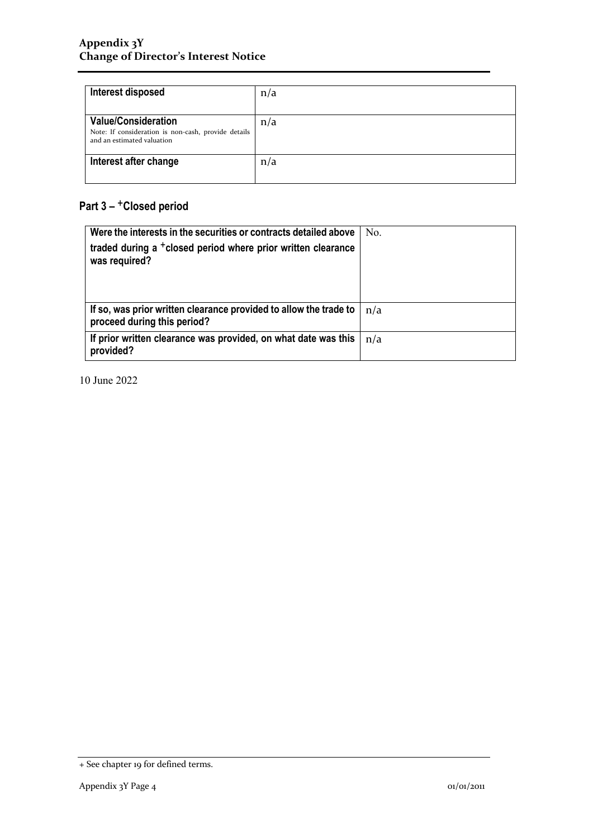| Interest disposed                                                                                               | n/a |
|-----------------------------------------------------------------------------------------------------------------|-----|
| <b>Value/Consideration</b><br>Note: If consideration is non-cash, provide details<br>and an estimated valuation | n/a |
| Interest after change                                                                                           | n/a |

## **Part 3 –** +**Closed period**

| Were the interests in the securities or contracts detailed above                                 | No. |
|--------------------------------------------------------------------------------------------------|-----|
| traded during a <sup>+</sup> closed period where prior written clearance<br>was required?        |     |
| If so, was prior written clearance provided to allow the trade to<br>proceed during this period? | n/a |
| If prior written clearance was provided, on what date was this<br>provided?                      | n/a |

10 June 2022

<sup>+</sup> See chapter 19 for defined terms.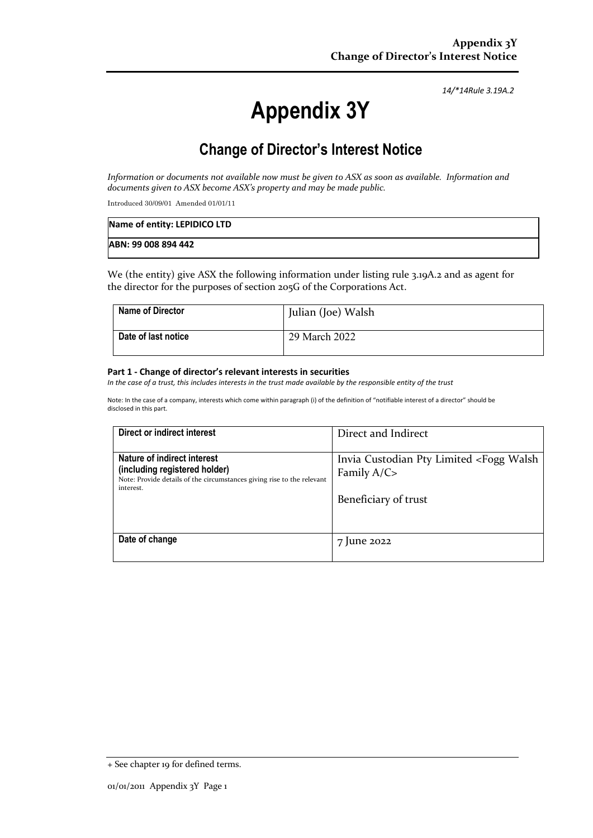*14/\*14Rule 3.19A.2*

# **Appendix 3Y**

## **Change of Director's Interest Notice**

*Information or documents not available now must be given to ASX as soon as available. Information and documents given to ASX become ASX's property and may be made public.*

Introduced 30/09/01 Amended 01/01/11

| Name of entity: LEPIDICO LTD |  |
|------------------------------|--|
| ABN: 99 008 894 442          |  |

We (the entity) give ASX the following information under listing rule 3.19A.2 and as agent for the director for the purposes of section 205G of the Corporations Act.

| <b>Name of Director</b> | Julian (Joe) Walsh |
|-------------------------|--------------------|
| Date of last notice     | 29 March 2022      |

#### **Part 1 - Change of director's relevant interests in securities**

*In the case of a trust, this includes interests in the trust made available by the responsible entity of the trust*

Note: In the case of a company, interests which come within paragraph (i) of the definition of "notifiable interest of a director" should be disclosed in this part.

| Direct or indirect interest                                                                                                                         | Direct and Indirect                                                                                   |
|-----------------------------------------------------------------------------------------------------------------------------------------------------|-------------------------------------------------------------------------------------------------------|
| Nature of indirect interest<br>(including registered holder)<br>Note: Provide details of the circumstances giving rise to the relevant<br>interest. | Invia Custodian Pty Limited <fogg walsh<br="">Family <math>A/C</math><br/>Beneficiary of trust</fogg> |
| Date of change                                                                                                                                      | 7 June 2022                                                                                           |

<sup>+</sup> See chapter 19 for defined terms.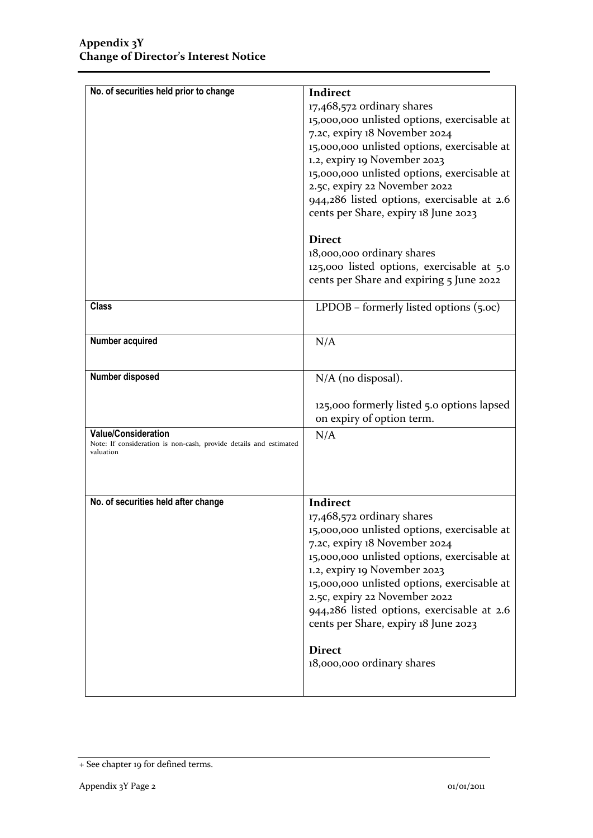| No. of securities held prior to change                            |                                             |
|-------------------------------------------------------------------|---------------------------------------------|
|                                                                   | Indirect                                    |
|                                                                   | 17,468,572 ordinary shares                  |
|                                                                   | 15,000,000 unlisted options, exercisable at |
|                                                                   | 7.2c, expiry 18 November 2024               |
|                                                                   | 15,000,000 unlisted options, exercisable at |
|                                                                   | 1.2, expiry 19 November 2023                |
|                                                                   | 15,000,000 unlisted options, exercisable at |
|                                                                   | 2.5c, expiry 22 November 2022               |
|                                                                   | 944,286 listed options, exercisable at 2.6  |
|                                                                   | cents per Share, expiry 18 June 2023        |
|                                                                   |                                             |
|                                                                   | <b>Direct</b>                               |
|                                                                   | 18,000,000 ordinary shares                  |
|                                                                   | 125,000 listed options, exercisable at 5.0  |
|                                                                   | cents per Share and expiring 5 June 2022    |
|                                                                   |                                             |
| <b>Class</b>                                                      | LPDOB – formerly listed options $(5.0c)$    |
|                                                                   |                                             |
|                                                                   |                                             |
| Number acquired                                                   | N/A                                         |
|                                                                   |                                             |
| Number disposed                                                   | $N/A$ (no disposal).                        |
|                                                                   |                                             |
|                                                                   | 125,000 formerly listed 5.0 options lapsed  |
|                                                                   | on expiry of option term.                   |
| <b>Value/Consideration</b>                                        | N/A                                         |
| Note: If consideration is non-cash, provide details and estimated |                                             |
| valuation                                                         |                                             |
|                                                                   |                                             |
|                                                                   |                                             |
| No. of securities held after change                               | Indirect                                    |
|                                                                   | $17,468,572$ ordinary shares                |
|                                                                   | 15,000,000 unlisted options, exercisable at |
|                                                                   |                                             |
|                                                                   | 7.2c, expiry 18 November 2024               |
|                                                                   | 15,000,000 unlisted options, exercisable at |
|                                                                   | 1.2, expiry 19 November 2023                |
|                                                                   | 15,000,000 unlisted options, exercisable at |
|                                                                   | 2.5c, expiry 22 November 2022               |
|                                                                   | 944,286 listed options, exercisable at 2.6  |
|                                                                   | cents per Share, expiry 18 June 2023        |
|                                                                   |                                             |
|                                                                   | <b>Direct</b>                               |
|                                                                   | 18,000,000 ordinary shares                  |
|                                                                   |                                             |
|                                                                   |                                             |

<sup>+</sup> See chapter 19 for defined terms.